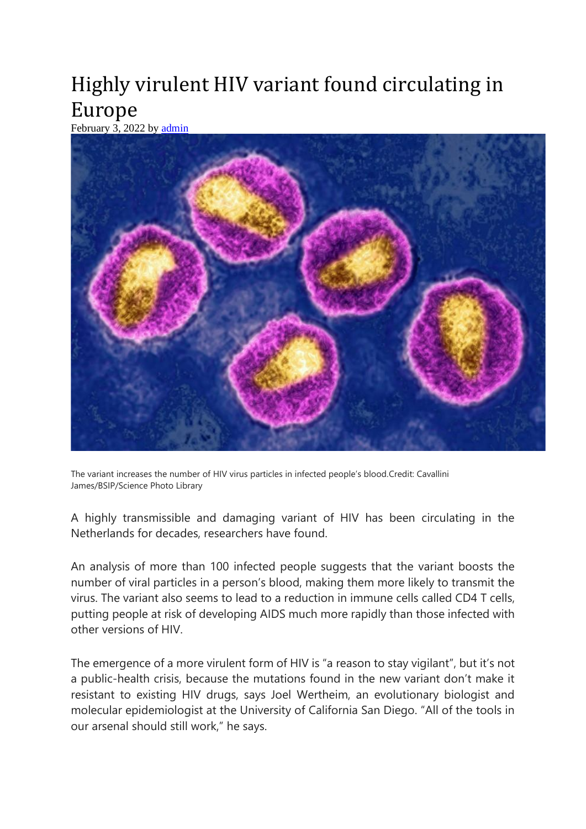## Highly virulent HIV variant found circulating in Europe

February  $\overline{3}$ , 2022 by [admin](https://gestta.co.uk/author/admin/)



The variant increases the number of HIV virus particles in infected people's blood.Credit: Cavallini James/BSIP/Science Photo Library

A highly transmissible and damaging variant of HIV has been circulating in the Netherlands for decades, researchers have found.

An analysis of more than 100 infected people suggests that the variant boosts the number of viral particles in a person's blood, making them more likely to transmit the virus. The variant also seems to lead to a reduction in immune cells called CD4 T cells, putting people at risk of developing AIDS much more rapidly than those infected with other versions of HIV.

The emergence of a more virulent form of HIV is "a reason to stay vigilant", but it's not a public-health crisis, because the mutations found in the new variant don't make it resistant to existing HIV drugs, says Joel Wertheim, an evolutionary biologist and molecular epidemiologist at the University of California San Diego. "All of the tools in our arsenal should still work," he says.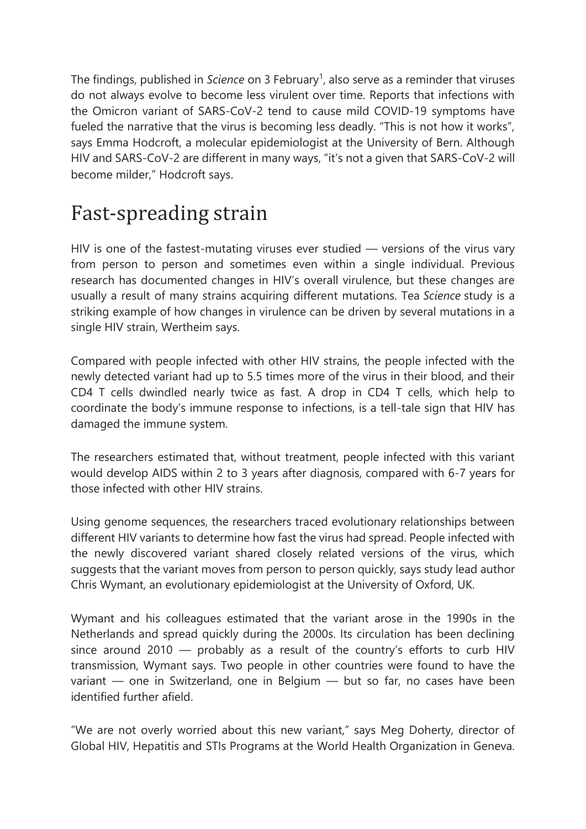The findings, published in *Science* on 3 February<sup>1</sup>, also serve as a reminder that viruses do not always evolve to become less virulent over time. Reports that infections with the Omicron variant of SARS-CoV-2 tend to cause mild COVID-19 symptoms have fueled the narrative that the virus is becoming less deadly. "This is not how it works", says Emma Hodcroft, a molecular epidemiologist at the University of Bern. Although HIV and SARS-CoV-2 are different in many ways, "it's not a given that SARS-CoV-2 will become milder," Hodcroft says.

## Fast-spreading strain

HIV is one of the fastest-mutating viruses ever studied — versions of the virus vary from person to person and sometimes even within a single individual. Previous research has documented changes in HIV's overall virulence, but these changes are usually a result of many strains acquiring different mutations. Tea *Science* study is a striking example of how changes in virulence can be driven by several mutations in a single HIV strain, Wertheim says.

Compared with people infected with other HIV strains, the people infected with the newly detected variant had up to 5.5 times more of the virus in their blood, and their CD4 T cells dwindled nearly twice as fast. A drop in CD4 T cells, which help to coordinate the body's immune response to infections, is a tell-tale sign that HIV has damaged the immune system.

The researchers estimated that, without treatment, people infected with this variant would develop AIDS within 2 to 3 years after diagnosis, compared with 6-7 years for those infected with other HIV strains.

Using genome sequences, the researchers traced evolutionary relationships between different HIV variants to determine how fast the virus had spread. People infected with the newly discovered variant shared closely related versions of the virus, which suggests that the variant moves from person to person quickly, says study lead author Chris Wymant, an evolutionary epidemiologist at the University of Oxford, UK.

Wymant and his colleagues estimated that the variant arose in the 1990s in the Netherlands and spread quickly during the 2000s. Its circulation has been declining since around 2010 — probably as a result of the country's efforts to curb HIV transmission, Wymant says. Two people in other countries were found to have the variant — one in Switzerland, one in Belgium — but so far, no cases have been identified further afield.

"We are not overly worried about this new variant," says Meg Doherty, director of Global HIV, Hepatitis and STIs Programs at the World Health Organization in Geneva.